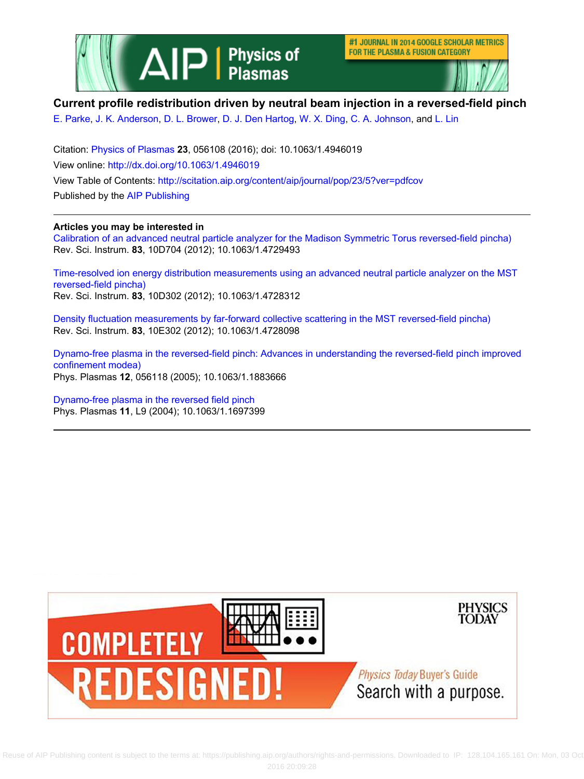

#1 JOURNAL IN 2014 GOOGLE SCHOLAR METRICS **FOR THE PLASMA & FUSION CATEGORY** 



# **Current profile redistribution driven by neutral beam injection in a reversed-field pinch**

[E. Parke,](http://scitation.aip.org/search?value1=E.+Parke&option1=author) [J. K. Anderson,](http://scitation.aip.org/search?value1=J.+K.+Anderson&option1=author) [D. L. Brower](http://scitation.aip.org/search?value1=D.+L.+Brower&option1=author), [D. J. Den Hartog,](http://scitation.aip.org/search?value1=D.+J.+Den+Hartog&option1=author) [W. X. Ding](http://scitation.aip.org/search?value1=W.+X.+Ding&option1=author), [C. A. Johnson,](http://scitation.aip.org/search?value1=C.+A.+Johnson&option1=author) and [L. Lin](http://scitation.aip.org/search?value1=L.+Lin&option1=author)

Citation: [Physics of Plasmas](http://scitation.aip.org/content/aip/journal/pop?ver=pdfcov) **23**, 056108 (2016); doi: 10.1063/1.4946019 View online:<http://dx.doi.org/10.1063/1.4946019> View Table of Contents:<http://scitation.aip.org/content/aip/journal/pop/23/5?ver=pdfcov> Published by the [AIP Publishing](http://scitation.aip.org/content/aip?ver=pdfcov)

# **Articles you may be interested in**

[Calibration of an advanced neutral particle analyzer for the Madison Symmetric Torus reversed-field pincha\)](http://scitation.aip.org/content/aip/journal/rsi/83/10/10.1063/1.4729493?ver=pdfcov) Rev. Sci. Instrum. **83**, 10D704 (2012); 10.1063/1.4729493

[Time-resolved ion energy distribution measurements using an advanced neutral particle analyzer on the MST](http://scitation.aip.org/content/aip/journal/rsi/83/10/10.1063/1.4728312?ver=pdfcov) [reversed-field pincha\)](http://scitation.aip.org/content/aip/journal/rsi/83/10/10.1063/1.4728312?ver=pdfcov) Rev. Sci. Instrum. **83**, 10D302 (2012); 10.1063/1.4728312

[Density fluctuation measurements by far-forward collective scattering in the MST reversed-field pincha\)](http://scitation.aip.org/content/aip/journal/rsi/83/10/10.1063/1.4728098?ver=pdfcov) Rev. Sci. Instrum. **83**, 10E302 (2012); 10.1063/1.4728098

[Dynamo-free plasma in the reversed-field pinch: Advances in understanding the reversed-field pinch improved](http://scitation.aip.org/content/aip/journal/pop/12/5/10.1063/1.1883666?ver=pdfcov) [confinement modea\)](http://scitation.aip.org/content/aip/journal/pop/12/5/10.1063/1.1883666?ver=pdfcov) Phys. Plasmas **12**, 056118 (2005); 10.1063/1.1883666

[Dynamo-free plasma in the reversed field pinch](http://scitation.aip.org/content/aip/journal/pop/11/5/10.1063/1.1697399?ver=pdfcov) Phys. Plasmas **11**, L9 (2004); 10.1063/1.1697399

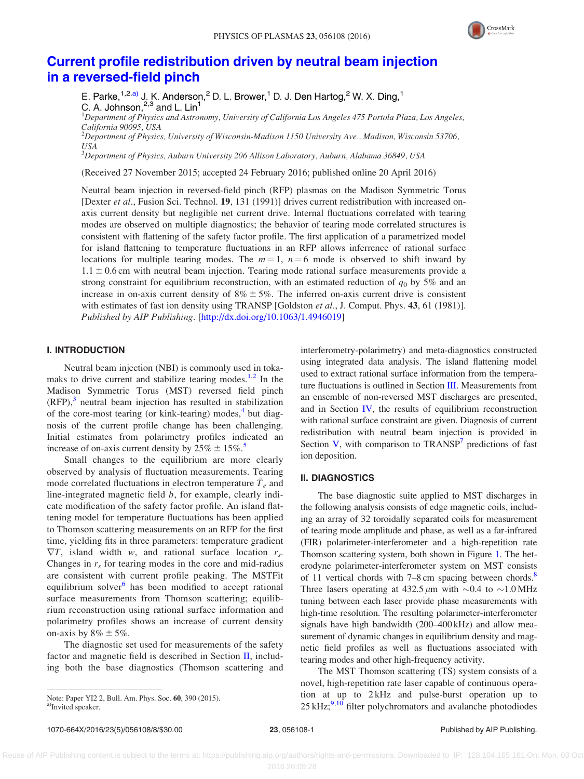

# [Current profile redistribution driven by neutral beam injection](http://dx.doi.org/10.1063/1.4946019) [in a reversed-field pinch](http://dx.doi.org/10.1063/1.4946019)

E. Parke,<sup>1,2,a)</sup> J. K. Anderson,<sup>2</sup> D. L. Brower,<sup>1</sup> D. J. Den Hartog,<sup>2</sup> W. X. Ding,<sup>1</sup> C. A. Johnson, $2,3$  and L. Lin<sup>1</sup>

<sup>1</sup>Department of Physics and Astronomy, University of California Los Angeles 475 Portola Plaza, Los Angeles, California 90095, USA

 $^2$ Department of Physics, University of Wisconsin-Madison 1150 University Ave., Madison, Wisconsin 53706, USA

<sup>3</sup>Department of Physics, Auburn University 206 Allison Laboratory, Auburn, Alabama 36849, USA

(Received 27 November 2015; accepted 24 February 2016; published online 20 April 2016)

Neutral beam injection in reversed-field pinch (RFP) plasmas on the Madison Symmetric Torus [Dexter et al., Fusion Sci. Technol. 19, 131 (1991)] drives current redistribution with increased onaxis current density but negligible net current drive. Internal fluctuations correlated with tearing modes are observed on multiple diagnostics; the behavior of tearing mode correlated structures is consistent with flattening of the safety factor profile. The first application of a parametrized model for island flattening to temperature fluctuations in an RFP allows inferrence of rational surface locations for multiple tearing modes. The  $m = 1$ ,  $n = 6$  mode is observed to shift inward by  $1.1 \pm 0.6$  cm with neutral beam injection. Tearing mode rational surface measurements provide a strong constraint for equilibrium reconstruction, with an estimated reduction of  $q_0$  by 5% and an increase in on-axis current density of  $8\% \pm 5\%$ . The inferred on-axis current drive is consistent with estimates of fast ion density using TRANSP [Goldston *et al.*, J. Comput. Phys. 43, 61 (1981)]. Published by AIP Publishing. [\[http://dx.doi.org/10.1063/1.4946019](http://dx.doi.org/10.1063/1.4946019)]

# I. INTRODUCTION

Neutral beam injection (NBI) is commonly used in toka-maks to drive current and stabilize tearing modes.<sup>1,[2](#page-8-0)</sup> In the Madison Symmetric Torus (MST) reversed field pinch  $(RFP)$ ,<sup>[3](#page-8-0)</sup> neutral beam injection has resulted in stabilization of the core-most tearing (or kink-tearing) modes, $4$  but diagnosis of the current profile change has been challenging. Initial estimates from polarimetry profiles indicated an increase of on-axis current density by  $25\% \pm 15\%$  $25\% \pm 15\%$  $25\% \pm 15\%$ .

Small changes to the equilibrium are more clearly observed by analysis of fluctuation measurements. Tearing mode correlated fluctuations in electron temperature  $\ddot{T}_e$  and line-integrated magnetic field  $\ddot{b}$ , for example, clearly indicate modification of the safety factor profile. An island flattening model for temperature fluctuations has been applied to Thomson scattering measurements on an RFP for the first time, yielding fits in three parameters: temperature gradient  $\nabla T$ , island width w, and rational surface location  $r_s$ . Changes in  $r<sub>s</sub>$  for tearing modes in the core and mid-radius are consistent with current profile peaking. The MSTFit equilibrium solver $6$  has been modified to accept rational surface measurements from Thomson scattering; equilibrium reconstruction using rational surface information and polarimetry profiles shows an increase of current density on-axis by  $8\% \pm 5\%$ .

The diagnostic set used for measurements of the safety factor and magnetic field is described in Section  $II$ , including both the base diagnostics (Thomson scattering and using integrated data analysis. The island flattening model used to extract rational surface information from the temperature fluctuations is outlined in Section [III.](#page-3-0) Measurements from an ensemble of non-reversed MST discharges are presented, and in Section [IV](#page-5-0), the results of equilibrium reconstruction with rational surface constraint are given. Diagnosis of current redistribution with neutral beam injection is provided in Section  $V$ , with comparison to TRANSP<sup> $\prime$ </sup> predictions of fast ion deposition.

interferometry-polarimetry) and meta-diagnostics constructed

# II. DIAGNOSTICS

The base diagnostic suite applied to MST discharges in the following analysis consists of edge magnetic coils, including an array of 32 toroidally separated coils for measurement of tearing mode amplitude and phase, as well as a far-infrared (FIR) polarimeter-interferometer and a high-repetition rate Thomson scattering system, both shown in Figure [1.](#page-2-0) The heterodyne polarimeter-interferometer system on MST consists of 11 vertical chords with  $7-8$  cm spacing between chords.<sup>8</sup> Three lasers operating at  $432.5 \mu m$  with  $\sim 0.4$  to  $\sim 1.0 \text{ MHz}$ tuning between each laser provide phase measurements with high-time resolution. The resulting polarimeter-interferometer signals have high bandwidth (200–400 kHz) and allow measurement of dynamic changes in equilibrium density and magnetic field profiles as well as fluctuations associated with tearing modes and other high-frequency activity.

The MST Thomson scattering (TS) system consists of a novel, high-repetition rate laser capable of continuous operation at up to 2 kHz and pulse-burst operation up to  $25 \text{ kHz}^{9,10}$  $25 \text{ kHz}^{9,10}$  $25 \text{ kHz}^{9,10}$  filter polychromators and avalanche photodiodes

Note: Paper YI2 2, Bull. Am. Phys. Soc. 60, 390 (2015). a)Invited speaker.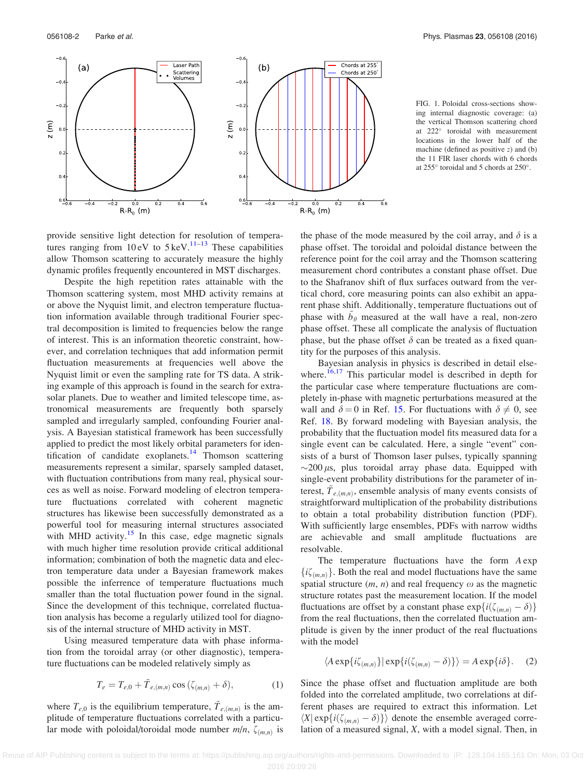<span id="page-2-0"></span>

FIG. 1. Poloidal cross-sections showing internal diagnostic coverage: (a) the vertical Thomson scattering chord at 222° toroidal with measurement locations in the lower half of the machine (defined as positive z) and (b) the 11 FIR laser chords with 6 chords at 255 $\degree$  toroidal and 5 chords at 250 $\degree$ .

provide sensitive light detection for resolution of temperatures ranging from  $10 \text{ eV}$  to  $5 \text{ keV}$ .<sup>[11–13](#page-8-0)</sup> These capabilities allow Thomson scattering to accurately measure the highly dynamic profiles frequently encountered in MST discharges.

Despite the high repetition rates attainable with the Thomson scattering system, most MHD activity remains at or above the Nyquist limit, and electron temperature fluctuation information available through traditional Fourier spectral decomposition is limited to frequencies below the range of interest. This is an information theoretic constraint, however, and correlation techniques that add information permit fluctuation measurements at frequencies well above the Nyquist limit or even the sampling rate for TS data. A striking example of this approach is found in the search for extrasolar planets. Due to weather and limited telescope time, astronomical measurements are frequently both sparsely sampled and irregularly sampled, confounding Fourier analysis. A Bayesian statistical framework has been successfully applied to predict the most likely orbital parameters for iden-tification of candidate exoplanets.<sup>[14](#page-8-0)</sup> Thomson scattering measurements represent a similar, sparsely sampled dataset, with fluctuation contributions from many real, physical sources as well as noise. Forward modeling of electron temperature fluctuations correlated with coherent magnetic structures has likewise been successfully demonstrated as a powerful tool for measuring internal structures associated with MHD activity.<sup>15</sup> In this case, edge magnetic signals with much higher time resolution provide critical additional information; combination of both the magnetic data and electron temperature data under a Bayesian framework makes possible the inferrence of temperature fluctuations much smaller than the total fluctuation power found in the signal. Since the development of this technique, correlated fluctuation analysis has become a regularly utilized tool for diagnosis of the internal structure of MHD activity in MST.

Using measured temperature data with phase information from the toroidal array (or other diagnostic), temperature fluctuations can be modeled relatively simply as

$$
T_e = T_{e,0} + \tilde{T}_{e,(m,n)} \cos\left(\zeta_{(m,n)} + \delta\right),\tag{1}
$$

where  $T_{e,0}$  is the equilibrium temperature,  $\hat{T}_{e,(m,n)}$  is the amplitude of temperature fluctuations correlated with a particular mode with poloidal/toroidal mode number  $m/n$ ,  $\zeta_{(m,n)}$  is the phase of the mode measured by the coil array, and  $\delta$  is a phase offset. The toroidal and poloidal distance between the reference point for the coil array and the Thomson scattering measurement chord contributes a constant phase offset. Due to the Shafranov shift of flux surfaces outward from the vertical chord, core measuring points can also exhibit an apparent phase shift. Additionally, temperature fluctuations out of phase with  $b_{\theta}$  measured at the wall have a real, non-zero phase offset. These all complicate the analysis of fluctuation phase, but the phase offset  $\delta$  can be treated as a fixed quantity for the purposes of this analysis.

Bayesian analysis in physics is described in detail else-where.<sup>[16,17](#page-8-0)</sup> This particular model is described in depth for the particular case where temperature fluctuations are completely in-phase with magnetic perturbations measured at the wall and  $\delta = 0$  in Ref. [15](#page-8-0). For fluctuations with  $\delta \neq 0$ , see Ref. [18.](#page-8-0) By forward modeling with Bayesian analysis, the probability that the fluctuation model fits measured data for a single event can be calculated. Here, a single "event" consists of a burst of Thomson laser pulses, typically spanning  $\sim$ 200  $\mu$ s, plus toroidal array phase data. Equipped with single-event probability distributions for the parameter of interest,  $\hat{T}_{e,(m,n)}$ , ensemble analysis of many events consists of straightforward multiplication of the probability distributions to obtain a total probability distribution function (PDF). With sufficiently large ensembles, PDFs with narrow widths are achievable and small amplitude fluctuations are resolvable.

The temperature fluctuations have the form A exp  $\{i\zeta_{(m,n)}\}$ . Both the real and model fluctuations have the same spatial structure  $(m, n)$  and real frequency  $\omega$  as the magnetic structure rotates past the measurement location. If the model fluctuations are offset by a constant phase  $\exp{i(\zeta_{(m,n)}-\delta)}$ from the real fluctuations, then the correlated fluctuation amplitude is given by the inner product of the real fluctuations with the model

$$
\langle A \exp\{i\zeta_{(m,n)}\} | \exp\{i(\zeta_{(m,n)} - \delta)\}\rangle = A \exp\{i\delta\}.
$$
 (2)

Since the phase offset and fluctuation amplitude are both folded into the correlated amplitude, two correlations at different phases are required to extract this information. Let  $\langle X | \exp\{i(\zeta_{(m,n)} - \delta)\}\rangle$  denote the ensemble averaged correlation of a measured signal, X, with a model signal. Then, in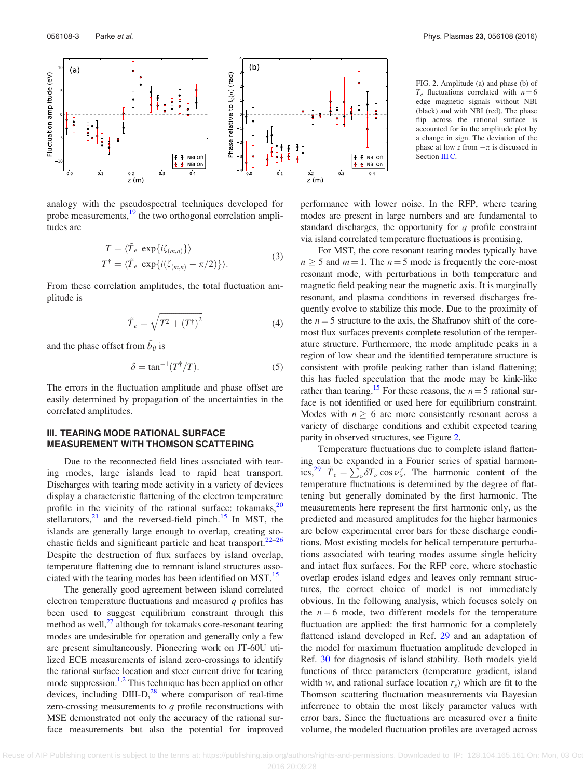<span id="page-3-0"></span>

analogy with the pseudospectral techniques developed for probe measurements,<sup>19</sup> the two orthogonal correlation amplitudes are

$$
T = \langle \tilde{T}_e | \exp\{i\zeta_{(m,n)}\}\rangle
$$
  
\n
$$
T^{\dagger} = \langle \tilde{T}_e | \exp\{i(\zeta_{(m,n)} - \pi/2)\}\rangle.
$$
\n(3)

From these correlation amplitudes, the total fluctuation amplitude is

$$
\tilde{T}_e = \sqrt{T^2 + (T^{\dagger})^2} \tag{4}
$$

and the phase offset from  $\tilde{b}_{\theta}$  is

$$
\delta = \tan^{-1}(T^{\dagger}/T). \tag{5}
$$

The errors in the fluctuation amplitude and phase offset are easily determined by propagation of the uncertainties in the correlated amplitudes.

# III. TEARING MODE RATIONAL SURFACE MEASUREMENT WITH THOMSON SCATTERING

Due to the reconnected field lines associated with tearing modes, large islands lead to rapid heat transport. Discharges with tearing mode activity in a variety of devices display a characteristic flattening of the electron temperature profile in the vicinity of the rational surface: tokamaks, $^{20}$  $^{20}$  $^{20}$ stellarators, $21$  and the reversed-field pinch.<sup>[15](#page-8-0)</sup> In MST, the islands are generally large enough to overlap, creating stochastic fields and significant particle and heat transport. $22-26$ Despite the destruction of flux surfaces by island overlap, temperature flattening due to remnant island structures asso-ciated with the tearing modes has been identified on MST.<sup>[15](#page-8-0)</sup>

The generally good agreement between island correlated electron temperature fluctuations and measured  $q$  profiles has been used to suggest equilibrium constraint through this method as well, $^{27}$  $^{27}$  $^{27}$  although for tokamaks core-resonant tearing modes are undesirable for operation and generally only a few are present simultaneously. Pioneering work on JT-60U utilized ECE measurements of island zero-crossings to identify the rational surface location and steer current drive for tearing mode suppression.<sup>[1,2](#page-8-0)</sup> This technique has been applied on other devices, including  $\text{DIII-D}$ ,<sup>28</sup> where comparison of real-time zero-crossing measurements to  $q$  profile reconstructions with MSE demonstrated not only the accuracy of the rational surface measurements but also the potential for improved

FIG. 2. Amplitude (a) and phase (b) of  $T_e$  fluctuations correlated with  $n = 6$ edge magnetic signals without NBI (black) and with NBI (red). The phase flip across the rational surface is accounted for in the amplitude plot by a change in sign. The deviation of the phase at low z from  $-\pi$  is discussed in Section **[III C](#page-5-0)**.

performance with lower noise. In the RFP, where tearing modes are present in large numbers and are fundamental to standard discharges, the opportunity for  $q$  profile constraint via island correlated temperature fluctuations is promising.

For MST, the core resonant tearing modes typically have  $n > 5$  and  $m = 1$ . The  $n = 5$  mode is frequently the core-most resonant mode, with perturbations in both temperature and magnetic field peaking near the magnetic axis. It is marginally resonant, and plasma conditions in reversed discharges frequently evolve to stabilize this mode. Due to the proximity of the  $n = 5$  structure to the axis, the Shafranov shift of the coremost flux surfaces prevents complete resolution of the temperature structure. Furthermore, the mode amplitude peaks in a region of low shear and the identified temperature structure is consistent with profile peaking rather than island flattening; this has fueled speculation that the mode may be kink-like rather than tearing.<sup>15</sup> For these reasons, the  $n = 5$  rational surface is not identified or used here for equilibrium constraint. Modes with  $n \geq 6$  are more consistently resonant across a variety of discharge conditions and exhibit expected tearing parity in observed structures, see Figure 2.

Temperature fluctuations due to complete island flattening can be expanded in a Fourier series of spatial harmonics,<sup>29</sup>  $\tilde{T}_e = \sum_{\nu} \delta T_{\nu} \cos \nu \zeta$ . The harmonic content of the temperature fluctuations is determined by the degree of flattening but generally dominated by the first harmonic. The measurements here represent the first harmonic only, as the predicted and measured amplitudes for the higher harmonics are below experimental error bars for these discharge conditions. Most existing models for helical temperature perturbations associated with tearing modes assume single helicity and intact flux surfaces. For the RFP core, where stochastic overlap erodes island edges and leaves only remnant structures, the correct choice of model is not immediately obvious. In the following analysis, which focuses solely on the  $n = 6$  mode, two different models for the temperature fluctuation are applied: the first harmonic for a completely flattened island developed in Ref. [29](#page-8-0) and an adaptation of the model for maximum fluctuation amplitude developed in Ref. [30](#page-8-0) for diagnosis of island stability. Both models yield functions of three parameters (temperature gradient, island width w, and rational surface location  $r<sub>s</sub>$ ) which are fit to the Thomson scattering fluctuation measurements via Bayesian inferrence to obtain the most likely parameter values with error bars. Since the fluctuations are measured over a finite volume, the modeled fluctuation profiles are averaged across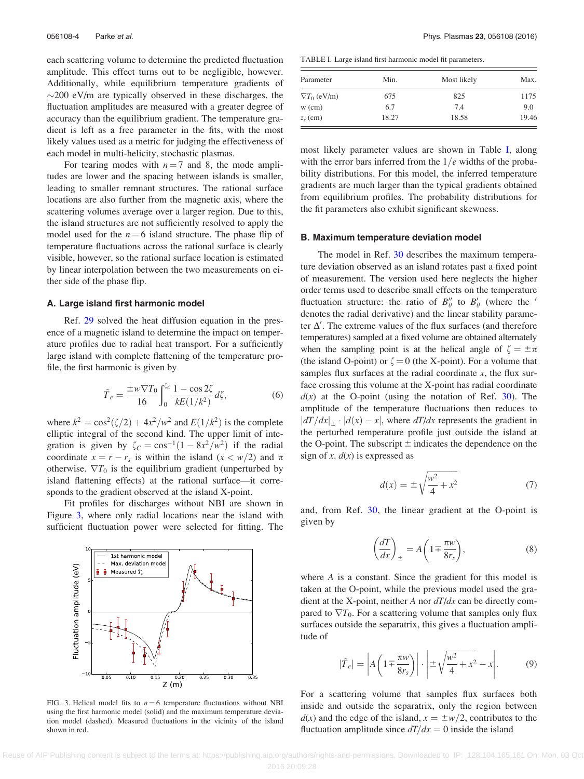<span id="page-4-0"></span>each scattering volume to determine the predicted fluctuation amplitude. This effect turns out to be negligible, however. Additionally, while equilibrium temperature gradients of  $\sim$ 200 eV/m are typically observed in these discharges, the fluctuation amplitudes are measured with a greater degree of accuracy than the equilibrium gradient. The temperature gradient is left as a free parameter in the fits, with the most likely values used as a metric for judging the effectiveness of each model in multi-helicity, stochastic plasmas.

For tearing modes with  $n = 7$  and 8, the mode amplitudes are lower and the spacing between islands is smaller, leading to smaller remnant structures. The rational surface locations are also further from the magnetic axis, where the scattering volumes average over a larger region. Due to this, the island structures are not sufficiently resolved to apply the model used for the  $n = 6$  island structure. The phase flip of temperature fluctuations across the rational surface is clearly visible, however, so the rational surface location is estimated by linear interpolation between the two measurements on either side of the phase flip.

#### A. Large island first harmonic model

Ref. [29](#page-8-0) solved the heat diffusion equation in the presence of a magnetic island to determine the impact on temperature profiles due to radial heat transport. For a sufficiently large island with complete flattening of the temperature profile, the first harmonic is given by

$$
\tilde{T}_e = \frac{\pm w \nabla T_0}{16} \int_0^{\zeta_c} \frac{1 - \cos 2\zeta}{kE(1/k^2)} d\zeta,\tag{6}
$$

where  $k^2 = \cos^2(\zeta/2) + 4x^2/w^2$  and  $E(1/k^2)$  is the complete elliptic integral of the second kind. The upper limit of integration is given by  $\zeta_c = \cos^{-1}(1 - 8x^2/w^2)$  if the radial coordinate  $x = r - r_s$  is within the island  $(x \lt w/2)$  and  $\pi$ otherwise.  $\nabla T_0$  is the equilibrium gradient (unperturbed by island flattening effects) at the rational surface—it corresponds to the gradient observed at the island X-point.

Fit profiles for discharges without NBI are shown in Figure 3, where only radial locations near the island with sufficient fluctuation power were selected for fitting. The



FIG. 3. Helical model fits to  $n = 6$  temperature fluctuations without NBI using the first harmonic model (solid) and the maximum temperature deviation model (dashed). Measured fluctuations in the vicinity of the island shown in red.

TABLE I. Large island first harmonic model fit parameters.

| Parameter           | Min.  | Most likely | Max.  |  |
|---------------------|-------|-------------|-------|--|
| $\nabla T_0$ (eV/m) | 675   | 825         | 1175  |  |
| $w$ (cm)            | 6.7   | 7.4         | 9.0   |  |
| $z_s$ (cm)          | 18.27 | 18.58       | 19.46 |  |

most likely parameter values are shown in Table I, along with the error bars inferred from the  $1/e$  widths of the probability distributions. For this model, the inferred temperature gradients are much larger than the typical gradients obtained from equilibrium profiles. The probability distributions for the fit parameters also exhibit significant skewness.

#### B. Maximum temperature deviation model

The model in Ref. [30](#page-8-0) describes the maximum temperature deviation observed as an island rotates past a fixed point of measurement. The version used here neglects the higher order terms used to describe small effects on the temperature fluctuation structure: the ratio of  $B''_{\theta}$  to  $B'_{\theta}$  (where the ' denotes the radial derivative) and the linear stability parameter  $\Delta'$ . The extreme values of the flux surfaces (and therefore temperatures) sampled at a fixed volume are obtained alternately when the sampling point is at the helical angle of  $\zeta = \pm \pi$ (the island O-point) or  $\zeta = 0$  (the X-point). For a volume that samples flux surfaces at the radial coordinate  $x$ , the flux surface crossing this volume at the X-point has radial coordinate  $d(x)$  at the O-point (using the notation of Ref. [30](#page-8-0)). The amplitude of the temperature fluctuations then reduces to  $\left| \frac{dT}{dx} \right|_{\pm} \cdot \left| d(x) - x \right|$ , where  $\frac{dT}{dx}$  represents the gradient in the perturbed temperature profile just outside the island at the O-point. The subscript  $\pm$  indicates the dependence on the sign of x.  $d(x)$  is expressed as

$$
d(x) = \pm \sqrt{\frac{w^2}{4} + x^2}
$$
 (7)

and, from Ref. [30,](#page-8-0) the linear gradient at the O-point is given by

$$
\left(\frac{dT}{dx}\right)_{\pm} = A \left(1 \pm \frac{\pi w}{8r_s}\right),\tag{8}
$$

where A is a constant. Since the gradient for this model is taken at the O-point, while the previous model used the gradient at the X-point, neither A nor  $dT/dx$  can be directly compared to  $\nabla T_0$ . For a scattering volume that samples only flux surfaces outside the separatrix, this gives a fluctuation amplitude of

$$
|\tilde{T}_e| = \left| A \left( 1 \mp \frac{\pi w}{8r_s} \right) \right| \cdot \left| \pm \sqrt{\frac{w^2}{4} + x^2} - x \right|.
$$
 (9)

For a scattering volume that samples flux surfaces both inside and outside the separatrix, only the region between  $d(x)$  and the edge of the island,  $x = \pm w/2$ , contributes to the fluctuation amplitude since  $dT/dx = 0$  inside the island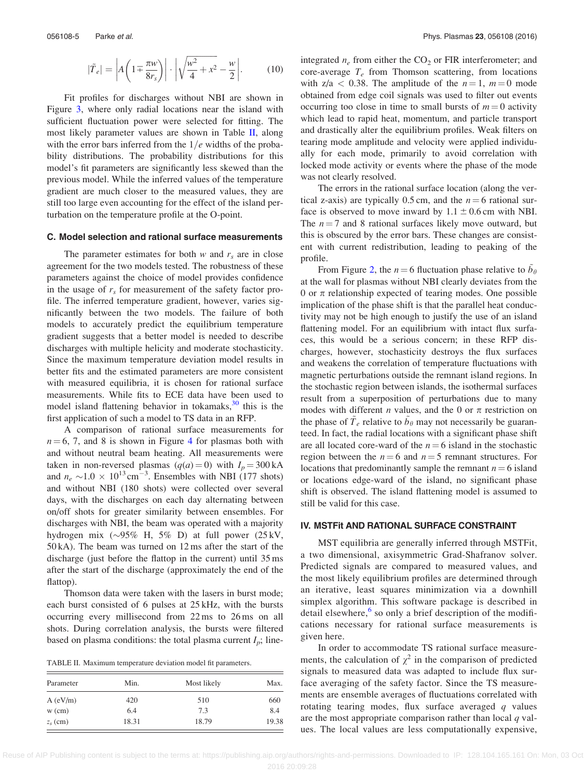<span id="page-5-0"></span>
$$
|\tilde{T}_e| = \left| A \left( 1 \mp \frac{\pi w}{8r_s} \right) \right| \cdot \left| \sqrt{\frac{w^2}{4} + x^2} - \frac{w}{2} \right|.
$$
 (10)

Fit profiles for discharges without NBI are shown in Figure [3](#page-4-0), where only radial locations near the island with sufficient fluctuation power were selected for fitting. The most likely parameter values are shown in Table  $II$ , along with the error bars inferred from the  $1/e$  widths of the probability distributions. The probability distributions for this model's fit parameters are significantly less skewed than the previous model. While the inferred values of the temperature gradient are much closer to the measured values, they are still too large even accounting for the effect of the island perturbation on the temperature profile at the O-point.

# C. Model selection and rational surface measurements

The parameter estimates for both  $w$  and  $r_s$  are in close agreement for the two models tested. The robustness of these parameters against the choice of model provides confidence in the usage of  $r<sub>s</sub>$  for measurement of the safety factor profile. The inferred temperature gradient, however, varies significantly between the two models. The failure of both models to accurately predict the equilibrium temperature gradient suggests that a better model is needed to describe discharges with multiple helicity and moderate stochasticity. Since the maximum temperature deviation model results in better fits and the estimated parameters are more consistent with measured equilibria, it is chosen for rational surface measurements. While fits to ECE data have been used to model island flattening behavior in tokamaks, $30$  this is the first application of such a model to TS data in an RFP.

A comparison of rational surface measurements for  $n = 6, 7$ , and 8 is shown in Figure [4](#page-6-0) for plasmas both with and without neutral beam heating. All measurements were taken in non-reversed plasmas  $(q(a) = 0)$  with  $I_p = 300 \text{ kA}$ and  $n_e \sim 1.0 \times 10^{13} \text{ cm}^{-3}$ . Ensembles with NBI (177 shots) and without NBI (180 shots) were collected over several days, with the discharges on each day alternating between on/off shots for greater similarity between ensembles. For discharges with NBI, the beam was operated with a majority hydrogen mix  $(\sim)5\%$  H, 5% D) at full power  $(25 \text{ kV},$ 50 kA). The beam was turned on 12 ms after the start of the discharge (just before the flattop in the current) until 35 ms after the start of the discharge (approximately the end of the flattop).

Thomson data were taken with the lasers in burst mode; each burst consisted of 6 pulses at 25 kHz, with the bursts occurring every millisecond from 22 ms to 26 ms on all shots. During correlation analysis, the bursts were filtered based on plasma conditions: the total plasma current  $I_p$ ; line-

|  |  |  |  |  | TABLE II. Maximum temperature deviation model fit parameters. |
|--|--|--|--|--|---------------------------------------------------------------|
|--|--|--|--|--|---------------------------------------------------------------|

| Parameter  | Min.  | Most likely | Max.  |  |
|------------|-------|-------------|-------|--|
| $A$ (eV/m) | 420   | 510         | 660   |  |
| $w$ (cm)   | 6.4   | 7.3         | 8.4   |  |
| $z_s$ (cm) | 18.31 | 18.79       | 19.38 |  |

integrated  $n_e$  from either the CO<sub>2</sub> or FIR interferometer; and core-average  $T_e$  from Thomson scattering, from locations with  $z/a < 0.38$ . The amplitude of the  $n = 1$ ,  $m = 0$  mode obtained from edge coil signals was used to filter out events occurring too close in time to small bursts of  $m = 0$  activity which lead to rapid heat, momentum, and particle transport and drastically alter the equilibrium profiles. Weak filters on tearing mode amplitude and velocity were applied individually for each mode, primarily to avoid correlation with locked mode activity or events where the phase of the mode was not clearly resolved.

The errors in the rational surface location (along the vertical z-axis) are typically 0.5 cm, and the  $n = 6$  rational surface is observed to move inward by  $1.1 \pm 0.6$  cm with NBI. The  $n = 7$  and 8 rational surfaces likely move outward, but this is obscured by the error bars. These changes are consistent with current redistribution, leading to peaking of the profile.

From Figure [2](#page-3-0), the  $n = 6$  fluctuation phase relative to  $b_{\theta}$ at the wall for plasmas without NBI clearly deviates from the 0 or  $\pi$  relationship expected of tearing modes. One possible implication of the phase shift is that the parallel heat conductivity may not be high enough to justify the use of an island flattening model. For an equilibrium with intact flux surfaces, this would be a serious concern; in these RFP discharges, however, stochasticity destroys the flux surfaces and weakens the correlation of temperature fluctuations with magnetic perturbations outside the remnant island regions. In the stochastic region between islands, the isothermal surfaces result from a superposition of perturbations due to many modes with different *n* values, and the 0 or  $\pi$  restriction on the phase of  $\tilde{T}_e$  relative to  $\tilde{b}_{\theta}$  may not necessarily be guaranteed. In fact, the radial locations with a significant phase shift are all located core-ward of the  $n = 6$  island in the stochastic region between the  $n = 6$  and  $n = 5$  remnant structures. For locations that predominantly sample the remnant  $n = 6$  island or locations edge-ward of the island, no significant phase shift is observed. The island flattening model is assumed to still be valid for this case.

#### IV. MSTFit AND RATIONAL SURFACE CONSTRAINT

MST equilibria are generally inferred through MSTFit, a two dimensional, axisymmetric Grad-Shafranov solver. Predicted signals are compared to measured values, and the most likely equilibrium profiles are determined through an iterative, least squares minimization via a downhill simplex algorithm. This software package is described in detail elsewhere, $6$  so only a brief description of the modifications necessary for rational surface measurements is given here.

In order to accommodate TS rational surface measurements, the calculation of  $\chi^2$  in the comparison of predicted signals to measured data was adapted to include flux surface averaging of the safety factor. Since the TS measurements are ensemble averages of fluctuations correlated with rotating tearing modes, flux surface averaged  $q$  values are the most appropriate comparison rather than local  $q$  values. The local values are less computationally expensive,

Reuse of AIP Publishing content is subject to the terms at: https://publishing.aip.org/authors/rights-and-permissions. Downloaded to IP: 128.104.165.161 On: Mon, 03 Oct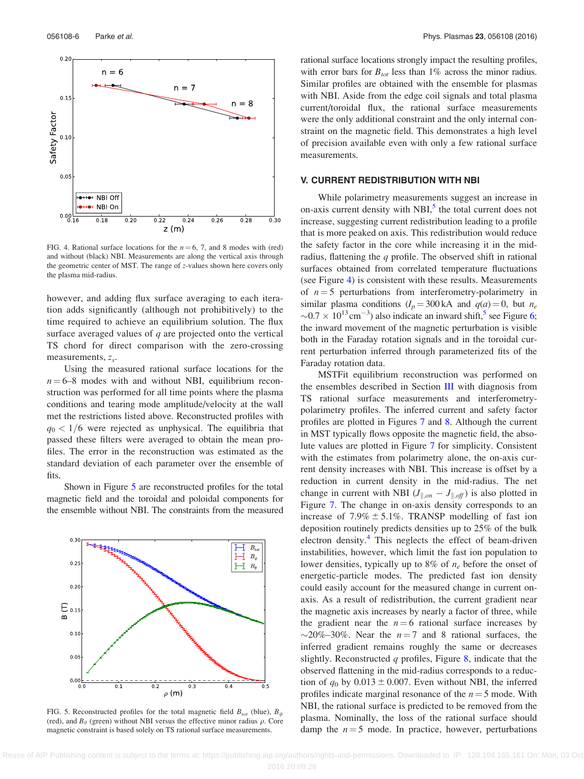<span id="page-6-0"></span>

FIG. 4. Rational surface locations for the  $n = 6, 7$ , and 8 modes with (red) and without (black) NBI. Measurements are along the vertical axis through the geometric center of MST. The range of z-values shown here covers only the plasma mid-radius.

however, and adding flux surface averaging to each iteration adds significantly (although not prohibitively) to the time required to achieve an equilibrium solution. The flux surface averaged values of  $q$  are projected onto the vertical TS chord for direct comparison with the zero-crossing measurements,  $z_s$ .

Using the measured rational surface locations for the  $n = 6–8$  modes with and without NBI, equilibrium reconstruction was performed for all time points where the plasma conditions and tearing mode amplitude/velocity at the wall met the restrictions listed above. Reconstructed profiles with  $q_0 < 1/6$  were rejected as unphysical. The equilibria that passed these filters were averaged to obtain the mean profiles. The error in the reconstruction was estimated as the standard deviation of each parameter over the ensemble of fits.

Shown in Figure 5 are reconstructed profiles for the total magnetic field and the toroidal and poloidal components for the ensemble without NBI. The constraints from the measured



FIG. 5. Reconstructed profiles for the total magnetic field  $B_{tot}$  (blue),  $B_{\phi}$ (red), and  $B_\theta$  (green) without NBI versus the effective minor radius  $\rho$ . Core magnetic constraint is based solely on TS rational surface measurements.

rational surface locations strongly impact the resulting profiles, with error bars for  $B_{tot}$  less than 1% across the minor radius. Similar profiles are obtained with the ensemble for plasmas with NBI. Aside from the edge coil signals and total plasma current/toroidal flux, the rational surface measurements were the only additional constraint and the only internal constraint on the magnetic field. This demonstrates a high level of precision available even with only a few rational surface measurements.

# V. CURRENT REDISTRIBUTION WITH NBI

While polarimetry measurements suggest an increase in on-axis current density with  $NBI<sub>1</sub><sup>5</sup>$  $NBI<sub>1</sub><sup>5</sup>$  $NBI<sub>1</sub><sup>5</sup>$  the total current does not increase, suggesting current redistribution leading to a profile that is more peaked on axis. This redistribution would reduce the safety factor in the core while increasing it in the midradius, flattening the  $q$  profile. The observed shift in rational surfaces obtained from correlated temperature fluctuations (see Figure 4) is consistent with these results. Measurements of  $n = 5$  perturbations from interferometry-polarimetry in similar plasma conditions ( $I_p = 300$  kA and  $q(a) = 0$ , but  $n_e$  $\sim$ 0.7  $\times$  10<sup>13</sup> cm<sup>-3</sup>) also indicate an inward shift,<sup>5</sup> see Figure [6;](#page-7-0) the inward movement of the magnetic perturbation is visible both in the Faraday rotation signals and in the toroidal current perturbation inferred through parameterized fits of the Faraday rotation data.

MSTFit equilibrium reconstruction was performed on the ensembles described in Section [III](#page-3-0) with diagnosis from TS rational surface measurements and interferometrypolarimetry profiles. The inferred current and safety factor profiles are plotted in Figures [7](#page-7-0) and [8.](#page-7-0) Although the current in MST typically flows opposite the magnetic field, the absolute values are plotted in Figure [7](#page-7-0) for simplicity. Consistent with the estimates from polarimetry alone, the on-axis current density increases with NBI. This increase is offset by a reduction in current density in the mid-radius. The net change in current with NBI ( $J_{\parallel, on} - J_{\parallel, off}$ ) is also plotted in Figure [7.](#page-7-0) The change in on-axis density corresponds to an increase of  $7.9\% \pm 5.1\%$ . TRANSP modelling of fast ion deposition routinely predicts densities up to 25% of the bulk electron density.<sup>[4](#page-8-0)</sup> This neglects the effect of beam-driven instabilities, however, which limit the fast ion population to lower densities, typically up to 8% of  $n_e$  before the onset of energetic-particle modes. The predicted fast ion density could easily account for the measured change in current onaxis. As a result of redistribution, the current gradient near the magnetic axis increases by nearly a factor of three, while the gradient near the  $n = 6$  rational surface increases by  $\sim$ 20%–30%. Near the  $n=7$  and 8 rational surfaces, the inferred gradient remains roughly the same or decreases slightly. Reconstructed q profiles, Figure  $\frac{8}{3}$  $\frac{8}{3}$  $\frac{8}{3}$ , indicate that the observed flattening in the mid-radius corresponds to a reduction of  $q_0$  by 0.013  $\pm$  0.007. Even without NBI, the inferred profiles indicate marginal resonance of the  $n = 5$  mode. With NBI, the rational surface is predicted to be removed from the plasma. Nominally, the loss of the rational surface should damp the  $n = 5$  mode. In practice, however, perturbations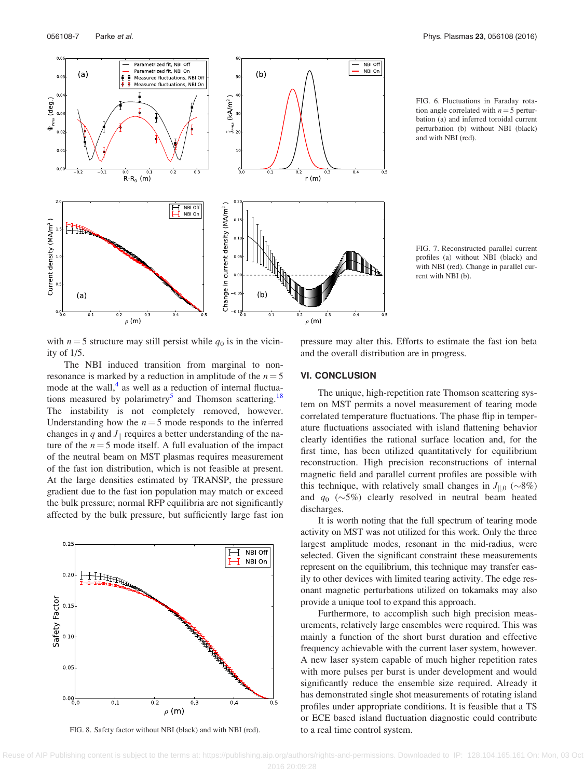<span id="page-7-0"></span>

FIG. 6. Fluctuations in Faraday rotation angle correlated with  $n = 5$  perturbation (a) and inferred toroidal current perturbation (b) without NBI (black) and with NBI (red).

FIG. 7. Reconstructed parallel current profiles (a) without NBI (black) and with NBI (red). Change in parallel current with NBI (b).

with  $n = 5$  structure may still persist while  $q_0$  is in the vicinity of 1/5.

The NBI induced transition from marginal to nonresonance is marked by a reduction in amplitude of the  $n = 5$ mode at the wall, $<sup>4</sup>$  $<sup>4</sup>$  $<sup>4</sup>$  as well as a reduction of internal fluctua-</sup> tions measured by polarimetry<sup>[5](#page-8-0)</sup> and Thomson scattering.<sup>[18](#page-8-0)</sup> The instability is not completely removed, however. Understanding how the  $n = 5$  mode responds to the inferred changes in q and  $J_{\parallel}$  requires a better understanding of the nature of the  $n = 5$  mode itself. A full evaluation of the impact of the neutral beam on MST plasmas requires measurement of the fast ion distribution, which is not feasible at present. At the large densities estimated by TRANSP, the pressure gradient due to the fast ion population may match or exceed the bulk pressure; normal RFP equilibria are not significantly affected by the bulk pressure, but sufficiently large fast ion



FIG. 8. Safety factor without NBI (black) and with NBI (red).

pressure may alter this. Efforts to estimate the fast ion beta and the overall distribution are in progress.

# VI. CONCLUSION

The unique, high-repetition rate Thomson scattering system on MST permits a novel measurement of tearing mode correlated temperature fluctuations. The phase flip in temperature fluctuations associated with island flattening behavior clearly identifies the rational surface location and, for the first time, has been utilized quantitatively for equilibrium reconstruction. High precision reconstructions of internal magnetic field and parallel current profiles are possible with this technique, with relatively small changes in  $J_{\parallel,0}$  ( $\sim$ 8%) and  $q_0$  ( $\sim$ 5%) clearly resolved in neutral beam heated discharges.

It is worth noting that the full spectrum of tearing mode activity on MST was not utilized for this work. Only the three largest amplitude modes, resonant in the mid-radius, were selected. Given the significant constraint these measurements represent on the equilibrium, this technique may transfer easily to other devices with limited tearing activity. The edge resonant magnetic perturbations utilized on tokamaks may also provide a unique tool to expand this approach.

Furthermore, to accomplish such high precision measurements, relatively large ensembles were required. This was mainly a function of the short burst duration and effective frequency achievable with the current laser system, however. A new laser system capable of much higher repetition rates with more pulses per burst is under development and would significantly reduce the ensemble size required. Already it has demonstrated single shot measurements of rotating island profiles under appropriate conditions. It is feasible that a TS or ECE based island fluctuation diagnostic could contribute to a real time control system.

 Reuse of AIP Publishing content is subject to the terms at: https://publishing.aip.org/authors/rights-and-permissions. Downloaded to IP: 128.104.165.161 On: Mon, 03 Oct 2016 20:09:28